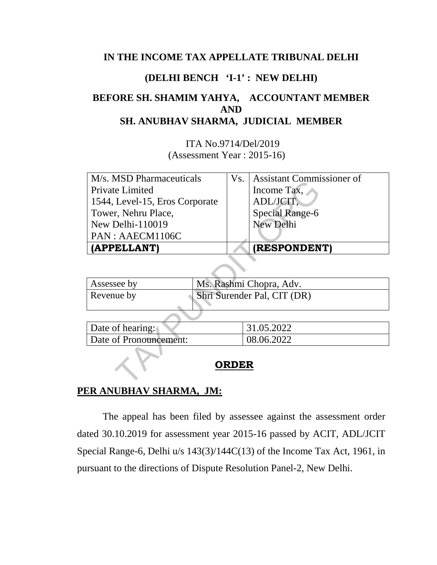#### **IN THE INCOME TAX APPELLATE TRIBUNAL DELHI**

#### **(DELHI BENCH 'I-1' : NEW DELHI)**

## **BEFORE SH. SHAMIM YAHYA, ACCOUNTANT MEMBER AND SH. ANUBHAV SHARMA, JUDICIAL MEMBER**

 ITA No.9714/Del/2019 (Assessment Year : 2015-16)

| M/s. MSD Pharmaceuticals                  | Vs.                     | Assistant Commissioner of |  |  |  |
|-------------------------------------------|-------------------------|---------------------------|--|--|--|
| Private Limited                           |                         | Income Tax.               |  |  |  |
| 1544, Level-15, Eros Corporate            |                         | ADL/JCIT,                 |  |  |  |
| Tower, Nehru Place,                       |                         | Special Range-6           |  |  |  |
| New Delhi-110019                          |                         | <b>New Delhi</b>          |  |  |  |
| PAN : AAECM1106C                          |                         |                           |  |  |  |
| (APPELLANT)                               |                         | <b>(RESPONDENT)</b>       |  |  |  |
|                                           |                         |                           |  |  |  |
| Assessee by                               | Ms. Rashmi Chopra, Adv. |                           |  |  |  |
| Shri Surender Pal, CIT (DR)<br>Revenue by |                         |                           |  |  |  |
|                                           |                         |                           |  |  |  |
| Date of hearing:                          |                         | 31.05.2022                |  |  |  |
| Date of Pronouncement:                    |                         | 08.06.2022                |  |  |  |
| <b>RDER</b>                               |                         |                           |  |  |  |

| Shri Surender Pal, CIT (DR)<br>Revenue by | Assessee by | Ms. Rashmi Chopra, Adv. |
|-------------------------------------------|-------------|-------------------------|
|                                           |             |                         |

| Date of hearing:       | 31.05.2022 |
|------------------------|------------|
| Date of Pronouncement: | 08.06.2022 |

#### **ORDER**

#### **PER ANUBHAV SHARMA, JM:**

 The appeal has been filed by assessee against the assessment order dated 30.10.2019 for assessment year 2015-16 passed by ACIT, ADL/JCIT Special Range-6, Delhi u/s 143(3)/144C(13) of the Income Tax Act, 1961, in pursuant to the directions of Dispute Resolution Panel-2, New Delhi.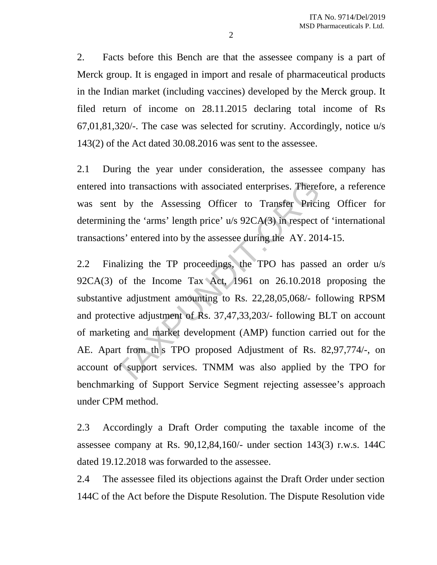2. Facts before this Bench are that the assessee company is a part of Merck group. It is engaged in import and resale of pharmaceutical products in the Indian market (including vaccines) developed by the Merck group. It filed return of income on 28.11.2015 declaring total income of Rs 67,01,81,320/-. The case was selected for scrutiny. Accordingly, notice u/s 143(2) of the Act dated 30.08.2016 was sent to the assessee.

2.1 During the year under consideration, the assessee company has entered into transactions with associated enterprises. Therefore, a reference was sent by the Assessing Officer to Transfer Pricing Officer for determining the 'arms' length price' u/s 92CA(3) in respect of 'international transactions' entered into by the assessee during the AY. 2014-15.

2.2 Finalizing the TP proceedings, the TPO has passed an order u/s 92CA(3) of the Income Tax Act, 1961 on 26.10.2018 proposing the substantive adjustment amounting to Rs. 22,28,05,068/- following RPSM and protective adjustment of Rs. 37,47,33,203/- following BLT on account of marketing and market development (AMP) function carried out for the AE. Apart from th s TPO proposed Adjustment of Rs. 82,97,774/-, on account of support services. TNMM was also applied by the TPO for benchmarking of Support Service Segment rejecting assessee's approach under CPM method. nto transactions with associated enterprises. Theref<br>t by the Assessing Officer to Transfer Pricin<br>ing the 'arms' length price' u/s 92CA(3) in respect<br>ons' entered into by the assessee during the AY. 201<br>nalizing the TP pr

2.3 Accordingly a Draft Order computing the taxable income of the assessee company at Rs. 90,12,84,160/- under section 143(3) r.w.s. 144C dated 19.12.2018 was forwarded to the assessee.

2.4 The assessee filed its objections against the Draft Order under section 144C of the Act before the Dispute Resolution. The Dispute Resolution vide

2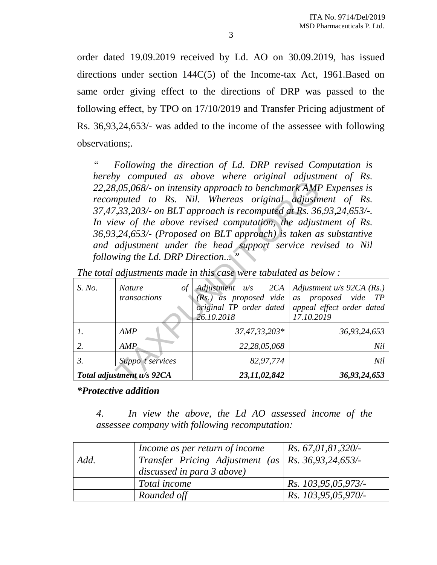order dated 19.09.2019 received by Ld. AO on 30.09.2019, has issued directions under section 144C(5) of the Income-tax Act, 1961.Based on same order giving effect to the directions of DRP was passed to the following effect, by TPO on 17/10/2019 and Transfer Pricing adjustment of Rs. 36,93,24,653/- was added to the income of the assessee with following observations;.

*" Following the direction of Ld. DRP revised Computation is hereby computed as above where original adjustment of Rs. 22,28,05,068/- on intensity approach to benchmark AMP Expenses is recomputed to Rs. Nil. Whereas original adjustment of Rs. 37,47,33,203/- on BLT approach is recomputed at Rs. 36,93,24,653/-. In view of the above revised computation, the adjustment of Rs. 36,93,24,653/- (Proposed on BLT approach) is taken as substantive and adjustment under the head support service revised to Nil following the Ld. DRP Direction... "* 

| compared as above micro original aupasinom<br>22,28,05,068/- on intensity approach to benchmark AMP Expenses is<br>recomputed to Rs. Nil. Whereas original adjustment of Rs.<br>37,47,33,203/- on BLT approach is recomputed at Rs. 36,93,24,653/-.<br>In view of the above revised computation, the adjustment of Rs.<br>36,93,24,653/- (Proposed on BLT approach) is taken as substantive<br>and adjustment under the head support service revised to Nil<br>following the Ld. DRP Direction" |                                             |                                                                                         |                                                                                               |  |
|-------------------------------------------------------------------------------------------------------------------------------------------------------------------------------------------------------------------------------------------------------------------------------------------------------------------------------------------------------------------------------------------------------------------------------------------------------------------------------------------------|---------------------------------------------|-----------------------------------------------------------------------------------------|-----------------------------------------------------------------------------------------------|--|
| The total adjustments made in this case were tabulated as below :                                                                                                                                                                                                                                                                                                                                                                                                                               |                                             |                                                                                         |                                                                                               |  |
| S. No.                                                                                                                                                                                                                                                                                                                                                                                                                                                                                          | $\sigma f$<br><i>Nature</i><br>transactions | Adjustment u/s 2CA<br>$(Rs.)$ as proposed vide<br>original TP order dated<br>26.10.2018 | Adjustment $u/s$ 92CA (Rs.)<br>as proposed vide TP<br>appeal effect order dated<br>17.10.2019 |  |
| 1.                                                                                                                                                                                                                                                                                                                                                                                                                                                                                              | AMP                                         | 37,47,33,203*                                                                           | 36,93,24,653                                                                                  |  |
| 2.                                                                                                                                                                                                                                                                                                                                                                                                                                                                                              | AMP                                         | 22,28,05,068                                                                            | Nil                                                                                           |  |
| $\mathfrak{Z}$ .                                                                                                                                                                                                                                                                                                                                                                                                                                                                                | Suppo <i>t</i> services                     | 82,97,774                                                                               | Nil                                                                                           |  |
|                                                                                                                                                                                                                                                                                                                                                                                                                                                                                                 | Total adjustment u/s 92CA                   | 23,11,02,842                                                                            | 36,93,24,653                                                                                  |  |

*The total adjustments made in this case were tabulated as below :* 

*\*Protective addition* 

*4. In view the above, the Ld AO assessed income of the assessee company with following recomputation:* 

|      | Income as per return of income                                                     | $\vert$ Rs. 67,01,81,320/- |
|------|------------------------------------------------------------------------------------|----------------------------|
| Add. | Transfer Pricing Adjustment (as   Rs. 36,93,24,653/-<br>discussed in para 3 above) |                            |
|      | Total income                                                                       | Rs. 103,95,05,973/-        |
|      | Rounded off                                                                        | Rs. 103,95,05,970/-        |

3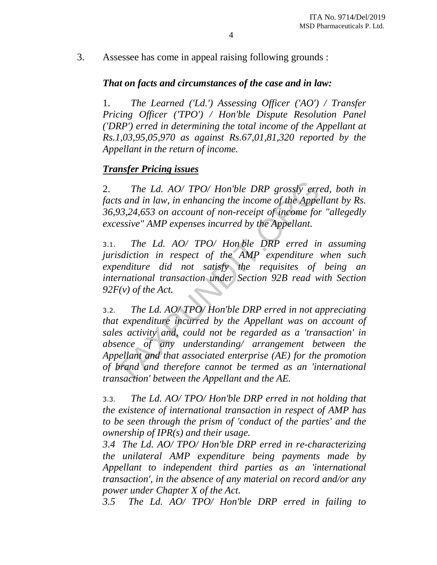3. Assessee has come in appeal raising following grounds :

## *That on facts and circumstances of the case and in law:*

1. *The Learned ('Ld.') Assessing Officer ('AO') / Transfer Pricing Officer ('TPO') / Hon'ble Dispute Resolution Panel ('DRP') erred in determining the total income of the Appellant at Rs.1,03,95,05,970 as against Rs.67,01,81,320 reported by the Appellant in the return of income.* 

## *Transfer Pricing issues*

2. *The Ld. AO/ TPO/ Hon'ble DRP grossly erred, both in facts and in law, in enhancing the income of the Appellant by Rs. 36,93,24,653 on account of non-receipt of income for "allegedly excessive" AMP expenses incurred by the Appellant.* 

3.1. *The Ld. AO/ TPO/ Hon ble DRP erred in assuming jurisdiction in respect of the AMP expenditure when such expenditure did not satisfy the requisites of being an international transaction under Section 92B read with Section 92F(v) of the Act.* 

3.2. *The Ld. AO/ TPO/ Hon'ble DRP erred in not appreciating that expenditure incurred by the Appellant was on account of sales activity and, could not be regarded as a 'transaction' in absence of any understanding/ arrangement between the Appellant and that associated enterprise (AE) for the promotion of brand and therefore cannot be termed as an 'international transaction' between the Appellant and the AE.*  The Ld. AO/ TPO/ Hon'ble DRP grossly errits and in law, in enhancing the income of the Appelson, 93,24,653 on account of non-receipt of income for essive" AMP expenses incurred by the Appellant.<br>The Ld. AO/ TPO/ Hon ble D

3.3. *The Ld. AO/ TPO/ Hon'ble DRP erred in not holding that the existence of international transaction in respect of AMP has to be seen through the prism of 'conduct of the parties' and the ownership of IPR(s) and their usage.* 

*3.4 The Ld. AO/ TPO/ Hon'ble DRP erred in re-characterizing the unilateral AMP expenditure being payments made by Appellant to independent third parties as an 'international transaction', in the absence of any material on record and/or any power under Chapter X of the Act.* 

*3.5 The Ld. AO/ TPO/ Hon'ble DRP erred in failing to*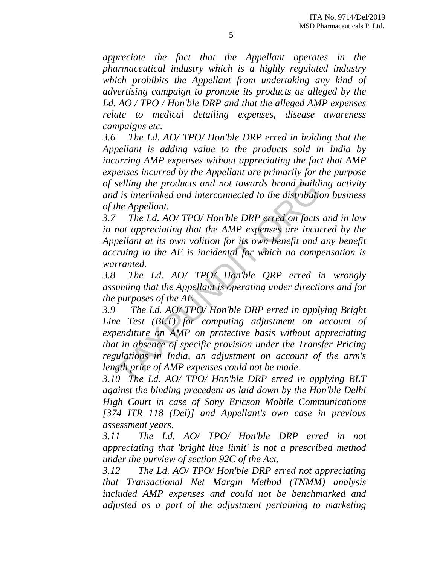*appreciate the fact that the Appellant operates in the pharmaceutical industry which is a highly regulated industry which prohibits the Appellant from undertaking any kind of advertising campaign to promote its products as alleged by the Ld. AO / TPO / Hon'ble DRP and that the alleged AMP expenses relate to medical detailing expenses, disease awareness campaigns etc.* 

*3.6 The Ld. AO/ TPO/ Hon'ble DRP erred in holding that the Appellant is adding value to the products sold in India by incurring AMP expenses without appreciating the fact that AMP expenses incurred by the Appellant are primarily for the purpose of selling the products and not towards brand building activity and is interlinked and interconnected to the distribution business of the Appellant.* 

*3.7 The Ld. AO/ TPO/ Hon'ble DRP erred on facts and in law in not appreciating that the AMP expenses are incurred by the Appellant at its own volition for its own benefit and any benefit accruing to the AE is incidental for which no compensation is warranted.* 

*3.8 The Ld. AO/ TPO/ Hon'ble QRP erred in wrongly assuming that the Appellant is operating under directions and for the purposes of the AE* 

*3.9 The Ld. AO/ TPO/ Hon'ble DRP erred in applying Bright Line Test (BLT) for computing adjustment on account of expenditure on AMP on protective basis without appreciating that in absence of specific provision under the Transfer Pricing regulations in India, an adjustment on account of the arm's length price of AMP expenses could not be made.*  selling the products and not towards brand build<br>d is interlinked and interconnected to the distribution<br>the Appellant.<br>The Ld. AO/TPO/Hon'ble DRP erred on facts<br>not appreciating that the AMP expenses are incur-<br>pellant at

*3.10 The Ld. AO/ TPO/ Hon'ble DRP erred in applying BLT against the binding precedent as laid down by the Hon'ble Delhi High Court in case of Sony Ericson Mobile Communications [374 ITR 118 (Del)] and Appellant's own case in previous assessment years.* 

*3.11 The Ld. AO/ TPO/ Hon'ble DRP erred in not appreciating that 'bright line limit' is not a prescribed method under the purview of section 92C of the Act.* 

*3.12 The Ld. AO/ TPO/ Hon'ble DRP erred not appreciating that Transactional Net Margin Method (TNMM) analysis included AMP expenses and could not be benchmarked and adjusted as a part of the adjustment pertaining to marketing*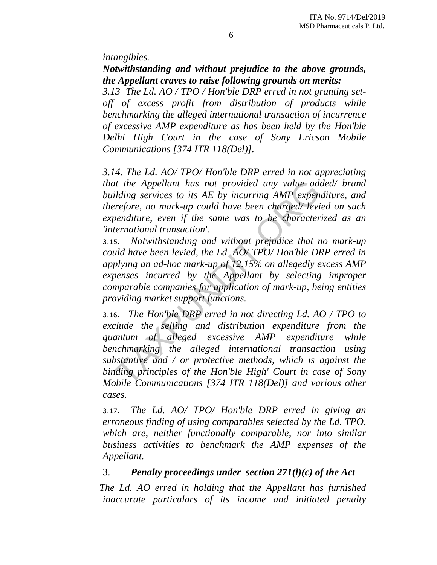*intangibles.* 

*Notwithstanding and without prejudice to the above grounds, the Appellant craves to raise following grounds on merits:* 

*3.13 The Ld. AO / TPO / Hon'ble DRP erred in not granting setoff of excess profit from distribution of products while benchmarking the alleged international transaction of incurrence of excessive AMP expenditure as has been held by the Hon'ble Delhi High Court in the case of Sony Ericson Mobile Communications [374 ITR 118(Del)].* 

*3.14. The Ld. AO/ TPO/ Hon'ble DRP erred in not appreciating that the Appellant has not provided any value added/ brand building services to its AE by incurring AMP expenditure, and therefore, no mark-up could have been charged/ levied on such expenditure, even if the same was to be characterized as an 'international transaction'.* 

3.15. *Notwithstanding and without prejudice that no mark-up could have been levied, the Ld AO/ TPO/ Hon'ble DRP erred in applying an ad-hoc mark-up of 12.15% on allegedly excess AMP expenses incurred by the Appellant by selecting improper comparable companies for application of mark-up, being entities providing market support functions.* 

3.16. *The Hon'ble DRP erred in not directing Ld. AO / TPO to exclude the selling and distribution expenditure from the quantum of alleged excessive AMP expenditure while benchmarking the alleged international transaction using substantive and / or protective methods, which is against the binding principles of the Hon'ble High' Court in case of Sony Mobile Communications [374 ITR 118(Del)] and various other cases.*  It the Appellant has not provided any value add<br>
ilding services to its AE by incurring AMP expent<br>
perfore, no mark-up could have been charged/levi<br>
benditure, even if the same was to be character<br>
ternational transaction

3.17. *The Ld. AO/ TPO/ Hon'ble DRP erred in giving an erroneous finding of using comparables selected by the Ld. TPO, which are, neither functionally comparable, nor into similar business activities to benchmark the AMP expenses of the Appellant.* 

## 3. *Penalty proceedings under section 271(l)(c) of the Act*

 *The Ld. AO erred in holding that the Appellant has furnished inaccurate particulars of its income and initiated penalty*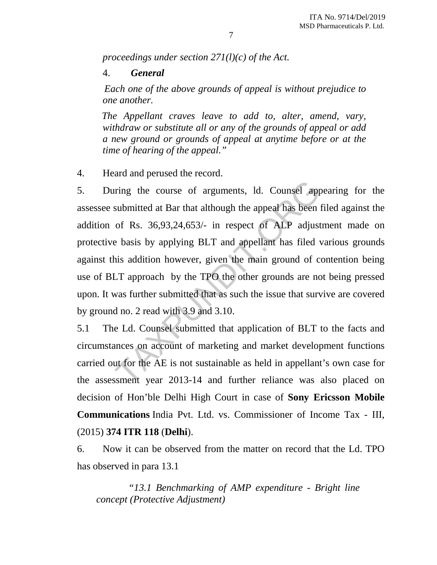*proceedings under section 271(l)(c) of the Act.* 

### 4. *General*

 *Each one of the above grounds of appeal is without prejudice to one another.* 

 *The Appellant craves leave to add to, alter, amend, vary, withdraw or substitute all or any of the grounds of appeal or add a new ground or grounds of appeal at anytime before or at the time of hearing of the appeal."* 

4. Heard and perused the record.

5. During the course of arguments, ld. Counsel appearing for the assessee submitted at Bar that although the appeal has been filed against the addition of Rs. 36,93,24,653/- in respect of ALP adjustment made on protective basis by applying BLT and appellant has filed various grounds against this addition however, given the main ground of contention being use of BLT approach by the TPO the other grounds are not being pressed upon. It was further submitted that as such the issue that survive are covered by ground no. 2 read with 3.9 and 3.10. in the course of arguments, ld. Counsel appears united at Bar that although the appeal has been of Rs. 36,93,24,653/- in respect of ALP adjust e basis by applying BLT and appellant has filed visit addition however, given t

5.1 The Ld. Counsel submitted that application of BLT to the facts and circumstances on account of marketing and market development functions carried out for the AE is not sustainable as held in appellant's own case for the assessment year 2013-14 and further reliance was also placed on decision of Hon'ble Delhi High Court in case of **Sony Ericsson Mobile Communications** India Pvt. Ltd. vs. Commissioner of Income Tax - III, (2015) **374 ITR 118** (**Delhi**).

6. Now it can be observed from the matter on record that the Ld. TPO has observed in para 13.1

 *"13.1 Benchmarking of AMP expenditure - Bright line concept (Protective Adjustment)*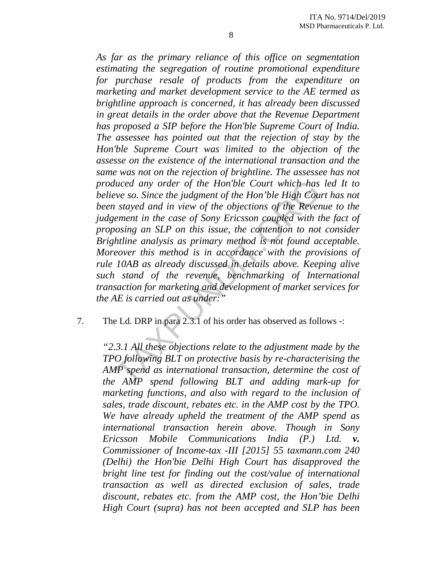*As far as the primary reliance of this office on segmentation estimating the segregation of routine promotional expenditure for purchase resale of products from the expenditure on marketing and market development service to the AE termed as brightline approach is concerned, it has already been discussed in great details in the order above that the Revenue Department has proposed a SIP before the Hon'ble Supreme Court of India. The assessee has pointed out that the rejection of stay by the Hon'ble Supreme Court was limited to the objection of the assesse on the existence of the international transaction and the same was not on the rejection of brightline. The assessee has not produced any order of the Hon'ble Court which has led It to believe so. Since the judgment of the Hon'ble High Court has not been stayed and in view of the objections of the Revenue to the judgement in the case of Sony Ericsson coupled with the fact of proposing an SLP on this issue, the contention to not consider Brightline analysis as primary method is not found acceptable. Moreover this method is in accordance with the provisions of rule 10AB as already discussed in details above. Keeping alive such stand of the revenue, benchmarking of International transaction for marketing and development of market services for the AE is carried out as under:"*  luced any order of the Hon'ble Court which has<br>the set so. Since the judgment of the Hon'ble High Cou<br>a stayed and in view of the objections of the Rever<br>ement in the case of Sony Ericsson coupled with the<br>posing an SLP on

7. The Ld. DRP in para 2.3.1 of his order has observed as follows -:

*"2.3.1 All these objections relate to the adjustment made by the TPO following BLT on protective basis by re-characterising the AMP spend as international transaction, determine the cost of the AMP spend following BLT and adding mark-up for marketing functions, and also with regard to the inclusion of sales, trade discount, rebates etc. in the AMP cost by the TPO. We have already upheld the treatment of the AMP spend as international transaction herein above. Though in Sony Ericsson Mobile Communications India (P.) Ltd. v. Commissioner of Income-tax -III [2015] 55 taxmann.com 240 (Delhi) the Hon'bie Delhi High Court has disapproved the bright line test for finding out the cost/value of international transaction as well as directed exclusion of sales, trade discount, rebates etc. from the AMP cost, the Hon'bie Delhi High Court (supra) has not been accepted and SLP has been*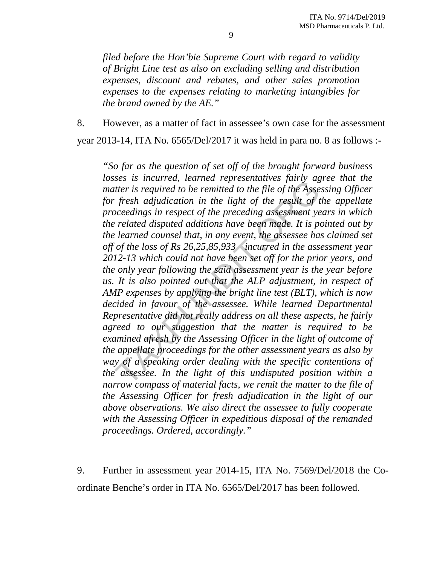*filed before the Hon'bie Supreme Court with regard to validity of Bright Line test as also on excluding selling and distribution expenses, discount and rebates, and other sales promotion expenses to the expenses relating to marketing intangibles for the brand owned by the AE."* 

8. However, as a matter of fact in assessee's own case for the assessment

year 2013-14, ITA No. 6565/Del/2017 it was held in para no. 8 as follows :-

*"So far as the question of set off of the brought forward business losses is incurred, learned representatives fairly agree that the matter is required to be remitted to the file of the Assessing Officer for fresh adjudication in the light of the result of the appellate proceedings in respect of the preceding assessment years in which the related disputed additions have been made. It is pointed out by the learned counsel that, in any event, the assessee has claimed set off of the loss of Rs 26,25,85,933 incurred in the assessment year 2012-13 which could not have been set off for the prior years, and the only year following the said assessment year is the year before us. It is also pointed out that the ALP adjustment, in respect of AMP expenses by applying the bright line test (BLT), which is now decided in favour of the assessee. While learned Departmental Representative did not really address on all these aspects, he fairly agreed to our suggestion that the matter is required to be examined afresh by the Assessing Officer in the light of outcome of the appellate proceedings for the other assessment years as also by way of a speaking order dealing with the specific contentions of the assessee. In the light of this undisputed position within a narrow compass of material facts, we remit the matter to the file of the Assessing Officer for fresh adjudication in the light of our above observations. We also direct the assessee to fully cooperate with the Assessing Officer in expeditious disposal of the remanded proceedings. Ordered, accordingly."*  ses is incurred, teamed representatives jurity agent that it is required to be remitted to the file of the Assections in the light of the result of to coedings in respect of the preceding assessment ye related disputed add

9. Further in assessment year 2014-15, ITA No. 7569/Del/2018 the Coordinate Benche's order in ITA No. 6565/Del/2017 has been followed.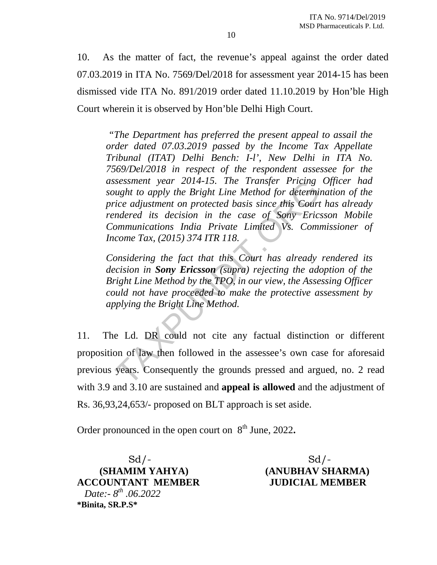10. As the matter of fact, the revenue's appeal against the order dated 07.03.2019 in ITA No. 7569/Del/2018 for assessment year 2014-15 has been dismissed vide ITA No. 891/2019 order dated 11.10.2019 by Hon'ble High Court wherein it is observed by Hon'ble Delhi High Court.

 *"The Department has preferred the present appeal to assail the order dated 07.03.2019 passed by the Income Tax Appellate Tribunal (ITAT) Delhi Bench: I-l', New Delhi in ITA No. 7569/Del/2018 in respect of the respondent assessee for the assessment year 2014-15. The Transfer Pricing Officer had sought to apply the Bright Line Method for determination of the price adjustment on protected basis since this Court has already rendered its decision in the case of Sony Ericsson Mobile Communications India Private Limited Vs. Commissioner of Income Tax, (2015) 374 ITR 118.*  seessment year 2014-15. The Transfer Pricing<br>ught to apply the Bright Line Method for determin-<br>ice adjustment on protected basis since this Court<br>indered its decision in the case of Sony Eric:<br>communications India Private

*Considering the fact that this Court has already rendered its decision in Sony Ericsson (supra) rejecting the adoption of the Bright Line Method by the TPO, in our view, the Assessing Officer could not have proceeded to make the protective assessment by applying the Bright Line Method.* 

11. The Ld. DR could not cite any factual distinction or different proposition of law then followed in the assessee's own case for aforesaid previous years. Consequently the grounds pressed and argued, no. 2 read with 3.9 and 3.10 are sustained and **appeal is allowed** and the adjustment of Rs. 36,93,24,653/- proposed on BLT approach is set aside.

Order pronounced in the open court on  $8<sup>th</sup>$  June, 2022.

 $Sd$  /-  $Sd$  /-**ACCOUNTANT MEMBER JUDICIAL MEMBER** *Date:- 8th .06.2022*  **\*Binita, SR.P.S\*** 

 **(SHAMIM YAHYA) (ANUBHAV SHARMA)**